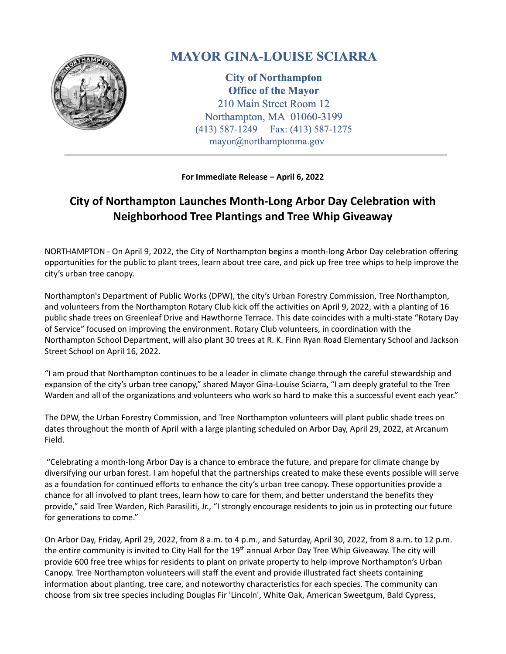

## **MAYOR GINA-LOUISE SCIARRA**

**City of Northampton Office of the Mayor** 210 Main Street Room 12 Northampton, MA 01060-3199 (413) 587-1249 Fax: (413) 587-1275 mayor@northamptonma.gov

**For Immediate Release – April 6, 2022**

## **City of Northampton Launches Month-Long Arbor Day Celebration with Neighborhood Tree Plantings and Tree Whip Giveaway**

NORTHAMPTON - On April 9, 2022, the City of Northampton begins a month-long Arbor Day celebration offering opportunities for the public to plant trees, learn about tree care, and pick up free tree whips to help improve the city's urban tree canopy.

Northampton's Department of Public Works (DPW), the city's Urban Forestry Commission, Tree Northampton, and volunteers from the Northampton Rotary Club kick off the activities on April 9, 2022, with a planting of 16 public shade trees on Greenleaf Drive and Hawthorne Terrace. This date coincides with a multi-state "Rotary Day of Service" focused on improving the environment. Rotary Club volunteers, in coordination with the Northampton School Department, will also plant 30 trees at R. K. Finn Ryan Road Elementary School and Jackson Street School on April 16, 2022.

"I am proud that Northampton continues to be a leader in climate change through the careful stewardship and expansion of the city's urban tree canopy," shared Mayor Gina-Louise Sciarra, "I am deeply grateful to the Tree Warden and all of the organizations and volunteers who work so hard to make this a successful event each year."

The DPW, the Urban Forestry Commission, and Tree Northampton volunteers will plant public shade trees on dates throughout the month of April with a large planting scheduled on Arbor Day, April 29, 2022, at Arcanum Field.

"Celebrating a month-long Arbor Day is a chance to embrace the future, and prepare for climate change by diversifying our urban forest. I am hopeful that the partnerships created to make these events possible will serve as a foundation for continued efforts to enhance the city's urban tree canopy. These opportunities provide a chance for all involved to plant trees, learn how to care for them, and better understand the benefits they provide," said Tree Warden, Rich Parasiliti, Jr., "I strongly encourage residents to join us in protecting our future for generations to come."

On Arbor Day, Friday, April 29, 2022, from 8 a.m. to 4 p.m., and Saturday, April 30, 2022, from 8 a.m. to 12 p.m. the entire community is invited to City Hall for the 19<sup>th</sup> annual Arbor Day Tree Whip Giveaway. The city will provide 600 free tree whips for residents to plant on private property to help improve Northampton's Urban Canopy. Tree Northampton volunteers will staff the event and provide illustrated fact sheets containing information about planting, tree care, and noteworthy characteristics for each species. The community can choose from six tree species including Douglas Fir 'Lincoln', White Oak, American Sweetgum, Bald Cypress,